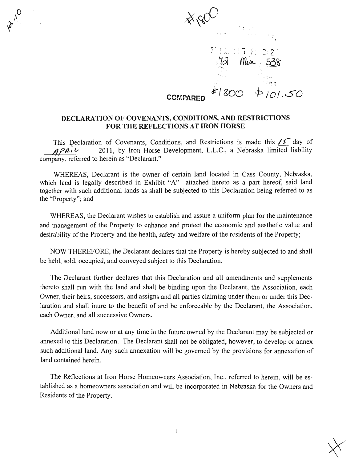$x^{\prime}$  .  $x^{\prime}$ I I I A 15 PH 3: 2" Misc 538  $\phi$  in  $50$ **COMPARED** 

## DECLARATION OF COVENANTS, CONDITIONS, AND RESTRICTIONS FOR THE REFLECTIONS AT IRON HORSE

This Declaration of Covenants, Conditions, and Restrictions is made this  $\sqrt{5}$  day of  $\Delta P$  $0.1$   $\sim$  2011, by Iron Horse Development, L.L.C., a Nebraska limited liability company, referred to herein as "Declarant."

WHEREAS, Declarant is the owner of certain land located in Cass County, Nebraska, which land is legally described in Exhibit "A" attached hereto as a part hereof, said land together with such additional lands as shall be subjected to this Declaration being referred to as the "Property"; and

WHEREAS, the Declarant wishes to establish and assure a uniform plan for the maintenance and management of the Property to enhance and protect the economic and aesthetic value and desirability of the Property and the health, safety and welfare of the residents of the Property;

NOW THEREFORE, the Declarant declares that the Property is hereby subjected to and shall be held, sold, occupied, and conveyed subject to this Declaration.

The Declarant further declares that this Declaration and all amendments and supplements thereto shall run with the land and shall be binding upon the Declarant, the Association, each Owner, their heirs, successors, and assigns and all parties claiming under them or under this Dec laration and shall inure to the benefit of and be enforceable by the Declarant, the Association, each Owner, and all successive Owners.

Additional land now or at any time in the future owned by the Declarant may be subjected or annexed to this Declaration. The Declarant shall not be obligated, however, to develop or annex such additional land. Any such annexation will be governed by the provisions for annexation of land contained herein.

The Reflections at Iron Horse Homeowners Association, Inc., referred to herein, will be es tablished as a homeowners association and will be incorporated in Nebraska for the Owners and Residents of the Property.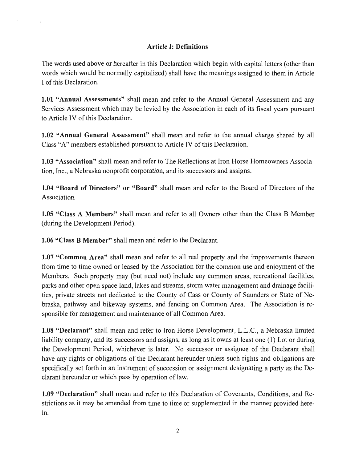# Article I: Definitions

The words used above or hereafter in this Declaration which begin with capital letters (other than words which would be normally capitalized) shall have the meanings assigned to them in Article I of this Declaration.

1.01 "Annual Assessments" shall mean and refer to the Annual General Assessment and any Services Assessment which may be levied by the Association in each of its fiscal years pursuant to Article IV of this Declaration.

1.02 "Annual General Assessment" shall mean and refer to the annual charge shared by all Class "A" members established pursuant to Article IV of this Declaration.

1.03 "Association" shall mean and refer to The Reflections at Iron Horse Homeowners Associa tion, Inc., a Nebraska nonprofit corporation, and its successors and assigns.

1.04 "Board of Directors" or "Board" shall mean and refer to the Board of Directors of the Association.

1.05 "Class A Members" shall mean and refer to all Owners other than the Class B Member (during the Development Period).

1.06 "Class B Member" shall mean and refer to the Declarant.

1.07 "Common Area" shall mean and refer to all real property and the improvements thereon from time to time owned or leased by the Association for the common use and enjoyment of the Members. Such property may (but need not) include any common areas, recreational facilities, parks and other open space land, lakes and streams, storm water management and drainage facili ties, private streets not dedicated to the County of Cass or County of Saunders or State of Ne braska, pathway and bikeway systems, and fencing on Common Area. The Association is re sponsible for management and maintenance of all Common Area.

1.08 "Declarant" shall mean and refer to Iron Horse Development, L.L.C., a Nebraska limited liability company, and its successors and assigns, as long as it owns at least one (1) Lot or during the Development Period, whichever is later. No successor or assignee of the Declarant shall have any rights or obligations of the Declarant hereunder unless such rights and obligations are specifically set forth in an instrument of succession or assignment designating a party as the De clarant hereunder or which pass by operation of law.

1.09 "Declaration" shall mean and refer to this Declaration of Covenants, Conditions, and Re strictions as it may be amended from time to time or supplemented in the manner provided here in.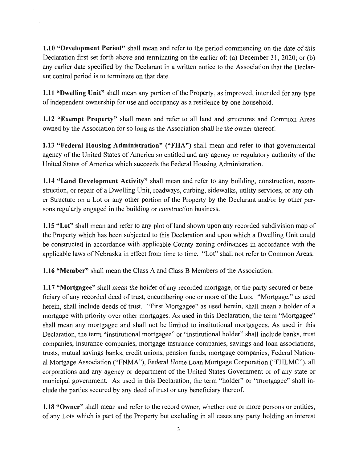1.10 "Development Period" shall mean and refer to the period commencing on the date of this Declaration first set forth above and terminating on the earlier of: (a) December 31, 2020; or (b) any earlier date specified by the Declarant in a written notice to the Association that the Declar ant control period is to terminate on that date.

1.11 "Dwelling Unit" shall mean any portion of the Property, as improved, intended for any type of independent ownership for use and occupancy as a residence by one household.

1.12 "Exempt Property" shall mean and refer to all land and structures and Common Areas owned by the Association for so long as the Association shall be the owner thereof.

1.13 "Federal Housing Administration" ("FHA") shall mean and refer to that governmental agency of the United States of America so entitled and any agency or regulatory authority of the United States of America which succeeds the Federal Housing Administration.

1.14 "Land Development Activity" shall mean and refer to any building, construction, reconstruction, or repair of a Dwelling Unit, roadways, curbing, sidewalks, utility services, or any oth er Structure on a Lot or any other portion of the Property by the Declarant and/or by other per sons regularly engaged in the building or construction business.

1.15 "Lot" shall mean and refer to any plot of land shown upon any recorded subdivision map of the Property which has been subjected to this Declaration and upon which a Dwelling Unit could be constructed in accordance with applicable County zoning ordinances in accordance with the applicable laws of Nebraska in effect from time to time. "Lot" shall not refer to Common Areas.

1.16 "Member" shall mean the Class A and Class B Members of the Association.

1.17 "Mortgagee" shall mean the holder of any recorded mortgage, or the party secured or bene ficiary of any recorded deed of trust, encumbering one or more of the Lots. "Mortgage," as used herein, shall include deeds of trust. "First Mortgagee" as used herein, shall mean a holder of a mortgage with priority over other mortgages. As used in this Declaration, the term "Mortgagee" shall mean any mortgagee and shall not be limited to institutional mortgagees. As used in this Declaration, the term "institutional mortgagee" or "institutional holder" shall include banks, trust companies, insurance companies, mortgage insurance companies, savings and loan associations, trusts, mutual savings banks, credit unions, pension funds, mortgage companies, Federal Nation al Mortgage Association ("FNMA"), Federal Home Loan Mortgage Corporation ("FHLMC"), all corporations and any agency or department of the United States Government or of any state or municipal government. As used in this Declaration, the term "holder" or "mortgagee" shall in clude the parties secured by any deed of trust or any beneficiary thereof.

1.18 "Owner" shall mean and refer to the record owner, whether one or more persons or entities, of any Lots which is part of the Property but excluding in all cases any party holding an interest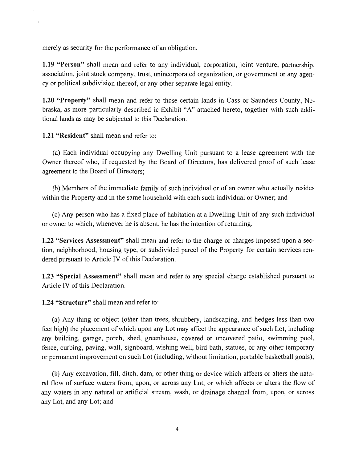merely as security for the performance of an obligation.

1.19 "Person" shall mean and refer to any individual, corporation, joint venture, partnership, association, joint stock company, trust, unincorporated organization, or government or any agen cy or political subdivision thereof, or any other separate legal entity.

1.20 "Property" shall mean and refer to those certain lands in Cass or Saunders County, Ne braska, as more particularly described in Exhibit "A" attached hereto, together with such addi tional lands as may be subjected to this Declaration.

1.21 "Resident" shall mean and refer to:

 $\mathcal{A}$ 

 $\sim$ 

 $\frac{1}{\sqrt{2}}$ 

(a) Each individual occupying any Dwelling Unit pursuant to a lease agreement with the Owner thereof who, if requested by the Board of Directors, has delivered proof of such lease agreement to the Board of Directors;

(b) Members of the immediate family of such individual or of an owner who actually resides within the Property and in the same household with each such individual or Owner; and

(c) Any person who has a fixed place of habitation at a Dwelling Unit of any such individual or owner to which, whenever he is absent, he has the intention of returning.

1.22 "Services Assessment" shall mean and refer to the charge or charges imposed upon a sec tion, neighborhood, housing type, or subdivided parcel of the Property for certain services ren dered pursuant to Article IV of this Declaration.

1.23 "Special Assessment" shall mean and refer to any special charge established pursuant to Article IV of this Declaration.

1.24 "Structure" shall mean and refer to:

(a) Any thing or object (other than trees, shrubbery, landscaping, and hedges less than two feet high) the placement of which upon any Lot may affect the appearance of such Lot, including any building, garage, porch, shed, greenhouse, covered or uncovered patio, swimming pool, fence, curbing, paving, wall, signboard, wishing well, bird bath, statues, or any other temporary or permanent improvement on such Lot (including, without limitation, portable basketball goals);

(b) Any excavation, fill, ditch, dam, or other thing or device which affects or alters the natu ral flow of surface waters from, upon, or across any Lot, or which affects or alters the flow of any waters in any natural or artificial stream, wash, or drainage channel from, upon, or across any Lot, and any Lot; and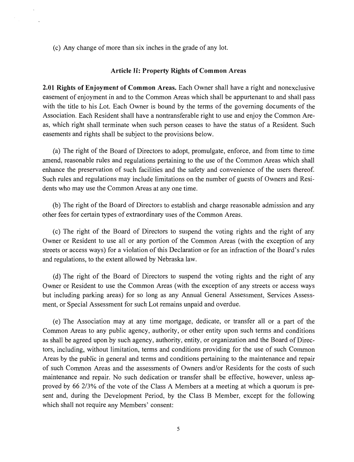(c) Any change of more than six inches in the grade of any lot.

#### Article II: Property Rights of Common Areas

2.01 Rights of Enjoyment of Common Areas. Each Owner shall have a right and nonexclusive easement of enjoyment in and to the Common Areas which shall be appurtenant to and shall pass with the title to his Lot. Each Owner is bound by the terms of the governing documents of the Association. Each Resident shall have a nontransferable right to use and enjoy the Common Are as, which right shall terminate when such person ceases to have the status of a Resident. Such easements and rights shall be subject to the provisions below.

(a) The right of the Board of Directors to adopt, promulgate, enforce, and from time to time amend, reasonable rules and regulations pertaining to the use of the Common Areas which shall enhance the preservation of such facilities and the safety and convenience of the users thereof. Such rules and regulations may include limitations on the number of guests of Owners and Resi dents who may use the Common Areas at any one time.

(b) The right of the Board of Directors to establish and charge reasonable admission and any other fees for certain types of extraordinary uses of the Common Areas.

(c) The right of the Board of Directors to suspend the voting rights and the right of any Owner or Resident to use all or any portion of the Common Areas (with the exception of any streets or access ways) for a violation of this Declaration or for an infraction of the Board's rules and regulations, to the extent allowed by Nebraska law.

(d) The right of the Board of Directors to suspend the voting rights and the right of any Owner or Resident to use the Common Areas (with the exception of any streets or access ways but including parking areas) for so long as any Annual General Assessment, Services Assess ment, or Special Assessment for such Lot remains unpaid and overdue.

(e) The Association may at any time mortgage, dedicate, or transfer all or a part of the Common Areas to any public agency, authority, or other entity upon such terms and conditions as shall be agreed upon by such agency, authority, entity, or organization and the Board of Direc tors, including, without limitation, terms and conditions providing for the use of such Common Areas by the public in general and terms and conditions pertaining to the maintenance and repair of such Common Areas and the assessments of Owners and/or Residents for the costs of such maintenance and repair. No such dedication or transfer shall be effective, however, unless ap proved by 66 2/3% of the vote of the Class A Members at a meeting at which a quorum is pre sent and, during the Development Period, by the Class B Member, except for the following which shall not require any Members' consent: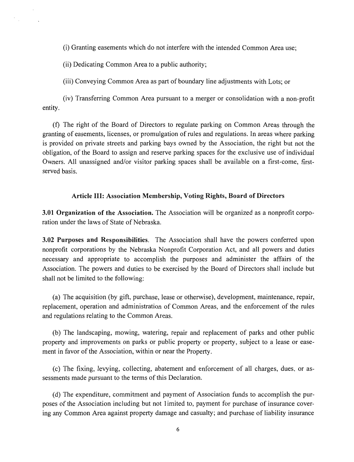(i) Granting easements which do not interfere with the intended Common Area use;

(ii) Dedicating Common Area to a public authority;

(iii) Conveying Common Area as part of boundary line adjustments with Lots; or

(iv) Transferring Common Area pursuant to a merger or consolidation with a non-profit entity.

(f) The right of the Board of Directors to regulate parking on Common Areas through the granting of easements, licenses, or promulgation of rules and regulations. In areas where parking is provided on private streets and parking bays owned by the Association, the right but not the obligation, of the Board to assign and reserve parking spaces for the exclusive use of individual Owners. All unassigned and/or visitor parking spaces shall be available on a first-come, firstserved basis.

#### Article III: Association Membership, Voting Rights, Board of Directors

3.01 Organization of the Association. The Association will be organized as a nonprofit corpo ration under the laws of State of Nebraska.

3.02 Purposes and Responsibilities. The Association shall have the powers conferred upon nonprofit corporations by the Nebraska Nonprofit Corporation Act, and all powers and duties necessary and appropriate to accomplish the purposes and administer the affairs of the Association. The powers and duties to be exercised by the Board of Directors shall include but shall not be limited to the following:

(a) The acquisition (by gift, purchase, lease or otherwise), development, maintenance, repair, replacement, operation and administration of Common Areas, and the enforcement of the rules and regulations relating to the Common Areas.

(b) The landscaping, mowing, watering, repair and replacement of parks and other public property and improvements on parks or public property or property, subject to a lease or ease ment in favor of the Association, within or near the Property.

(c) The fixing, levying, collecting, abatement and enforcement of all charges, dues, or as sessments made pursuant to the terms of this Declaration.

(d) The expenditure, commitment and payment of Association funds to accomplish the pur poses of the Association including but not 1 imited to, payment for purchase of insurance cover ing any Common Area against property damage and casualty; and purchase of liability insurance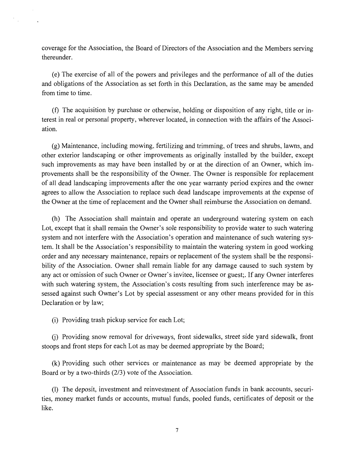coverage for the Association, the Board of Directors of the Association and the Members serving thereunder.

(e) The exercise of all of the powers and privileges and the performance of all of the duties and obligations of the Association as set forth in this Declaration, as the same may be amended from time to time.

(f) The acquisition by purchase or otherwise, holding or disposition of any right, title or in terest in real or personal property, wherever located, in connection with the affairs of the Associ ation.

(g) Maintenance, including mowing, fertilizing and trimming, of trees and shrubs, lawns, and other exterior landscaping or other improvements as originally installed by the builder, except such improvements as may have been installed by or at the direction of an Owner, which im provements shall be the responsibility of the Owner. The Owner is responsible for replacement of all dead landscaping improvements after the one year warranty period expires and the owner agrees to allow the Association to replace such dead landscape improvements at the expense of the Owner at the time of replacement and the Owner shall reimburse the Association on demand.

(h) The Association shall maintain and operate an underground watering system on each Lot, except that it shall remain the Owner's sole responsibility to provide water to such watering system and not interfere with the Association's operation and maintenance of such watering sys tem. It shall be the Association's responsibility to maintain the watering system in good working order and any necessary maintenance, repairs or replacement of the system shall be the responsi bility of the Association. Owner shall remain liable for any damage caused to such system by any act or omission of such Owner or Owner's invitee, licensee or guest;. If any Owner interferes with such watering system, the Association's costs resulting from such interference may be as sessed against such Owner's Lot by special assessment or any other means provided for in this Declaration or by law;

(i) Providing trash pickup service for each Lot;

(j) Providing snow removal for driveways, front sidewalks, street side yard sidewalk, front stoops and front steps for each Lot as may be deemed appropriate by the Board;

(k) Providing such other services or maintenance as may be deemed appropriate by the Board or by a two-thirds (2/3) vote of the Association.

(1) The deposit, investment and reinvestment of Association funds in bank accounts, securi ties, money market funds or accounts, mutual funds, pooled funds, certificates of deposit or the like.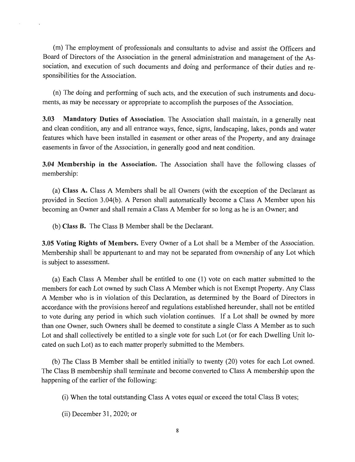(m) The employment of professionals and consultants to advise and assist the Officers and Board of Directors of the Association in the general administration and management of the As sociation, and execution of such documents and doing and performance of their duties and re sponsibilities for the Association.

(n) The doing and performing of such acts, and the execution of such instruments and docu ments, as may be necessary or appropriate to accomplish the purposes of the Association.

3.03 Mandatory Duties of Association. The Association shall maintain, in a generally neat and clean condition, any and all entrance ways, fence, signs, landscaping, lakes, ponds and water features which have been installed in easement or other areas of the Property, and any drainage easements in favor of the Association, in generally good and neat condition.

3.04 Membership in the Association. The Association shall have the following classes of membership:

(a) Class A. Class A Members shall be all Owners (with the exception of the Declarant as provided in Section 3.04(b). A Person shall automatically become a Class A Member upon his becoming an Owner and shall remain a Class A Member for so long as he is an Owner; and

(b) Class B. The Class B Member shall be the Declarant.

3.05 Voting Rights of Members. Every Owner of a Lot shall be a Member of the Association. Membership shall be appurtenant to and may not be separated from ownership of any Lot which is subject to assessment.

(a) Each Class A Member shall be entitled to one (1) vote on each matter submitted to the members for each Lot owned by such Class A Member which is not Exempt Property. Any Class A Member who is in violation of this Declaration, as determined by the Board of Directors in accordance with the provisions hereof and regulations established hereunder, shall not be entitled to vote during any period in which such violation continues. If a Lot shall be owned by more than one Owner, such Owners shall be deemed to constitute a single Class A Member as to such Lot and shall collectively be entitled to a single vote for such Lot (or for each Dwelling Unit lo cated on such Lot) as to each matter properly submitted to the Members.

(b) The Class B Member shall be entitled initially to twenty (20) votes for each Lot owned. The Class B membership shall terminate and become converted to Class A membership upon the happening of the earlier of the following:

- (i) When the total outstanding Class A votes equal or exceed the total Class B votes;
- (ii) December 31, 2020; or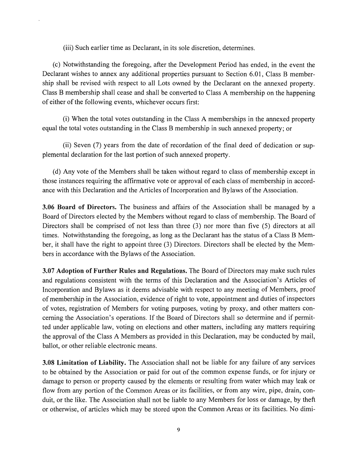(iii) Such earlier time as Declarant, in its sole discretion, determines.

(c) Notwithstanding the foregoing, after the Development Period has ended, in the event the Declarant wishes to annex any additional properties pursuant to Section 6.01, Class B member ship shall be revised with respect to all Lots owned by the Declarant on the annexed property. Class B membership shall cease and shall be converted to Class A membership on the happening of either of the following events, whichever occurs first:

(i) When the total votes outstanding in the Class A memberships in the annexed property equal the total votes outstanding in the Class B membership in such annexed property; or

(ii) Seven (7) years from the date of recordation of the final deed of dedication or sup plemental declaration for the last portion of such annexed property.

(d) Any vote of the Members shall be taken without regard to class of membership except in those instances requiring the affirmative vote or approval of each class of membership in accord ance with this Declaration and the Articles of Incorporation and Bylaws of the Association.

3.06 Board of Directors. The business and affairs of the Association shall be managed by a Board of Directors elected by the Members without regard to class of membership. The Board of Directors shall be comprised of not less than three (3) nor more than five (5) directors at all times. Notwithstanding the foregoing, as long as the Declarant has the status of a Class B Mem ber, it shall have the right to appoint three (3) Directors. Directors shall be elected by the Mem bers in accordance with the Bylaws of the Association.

3.07 Adoption of Further Rules and Regulations. The Board of Directors may make such rules and regulations consistent with the terms of this Declaration and the Association's Articles of Incorporation and Bylaws as it deems advisable with respect to any meeting of Members, proof of membership in the Association, evidence of right to vote, appointment and duties of inspectors of votes, registration of Members for voting purposes, voting by proxy, and other matters con cerning the Association's operations. If the Board of Directors shall so determine and if permit ted under applicable law, voting on elections and other matters, including any matters requiring the approval of the Class A Members as provided in this Declaration, may be conducted by mail, ballot, or other reliable electronic means.

3.08 Limitation of Liability. The Association shall not be liable for any failure of any services to be obtained by the Association or paid for out of the common expense funds, or for injury or damage to person or property caused by the elements or resulting from water which may leak or flow from any portion of the Common Areas or its facilities, or from any wire, pipe, drain, con duit, or the like. The Association shall not be liable to any Members for loss or damage, by theft or otherwise, of articles which may be stored upon the Common Areas or its facilities. No dimi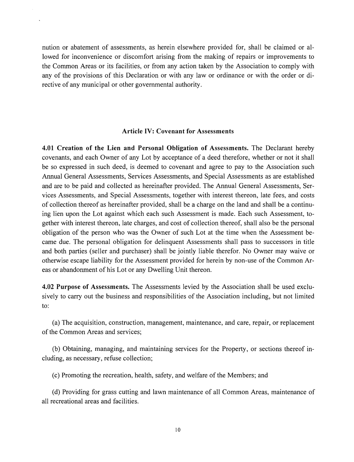nution or abatement of assessments, as herein elsewhere provided for, shall be claimed or al lowed for inconvenience or discomfort arising from the making of repairs or improvements to the Common Areas or its facilities, or from any action taken by the Association to comply with any of the provisions of this Declaration or with any law or ordinance or with the order or di rective of any municipal or other governmental authority.

#### Article IV: Covenant for Assessments

4.01 Creation of the Lien and Personal Obligation of Assessments. The Declarant hereby covenants, and each Owner of any Lot by acceptance of a deed therefore, whether or not it shall be so expressed in such deed, is deemed to covenant and agree to pay to the Association such Annual General Assessments, Services Assessments, and Special Assessments as are established and are to be paid and collected as hereinafter provided. The Annual General Assessments, Ser vices Assessments, and Special Assessments, together with interest thereon, late fees, and costs of collection thereof as hereinafter provided, shall be a charge on the land and shall be a continu ing lien upon the Lot against which each such Assessment is made. Each such Assessment, to gether with interest thereon, late charges, and cost of collection thereof, shall also be the personal obligation of the person who was the Owner of such Lot at the time when the Assessment be came due. The personal obligation for delinquent Assessments shall pass to successors in title and both parties (seller and purchaser) shall be jointly liable therefor. No Owner may waive or otherwise escape liability for the Assessment provided for herein by non-use of the Common Ar eas or abandonment of his Lot or any Dwelling Unit thereon.

4.02 Purpose of Assessments. The Assessments levied by the Association shall be used exclu sively to carry out the business and responsibilities of the Association including, but not limited to:

(a) The acquisition, construction, management, maintenance, and care, repair, or replacement of the Common Areas and services;

(b) Obtaining, managing, and maintaining services for the Property, or sections thereof in cluding, as necessary, refuse collection;

(c) Promoting the recreation, health, safety, and welfare of the Members; and

(d) Providing for grass cutting and lawn maintenance of all Common Areas, maintenance of all recreational areas and facilities.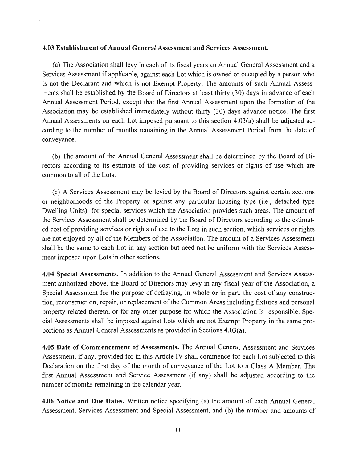#### 4.03 Establishment of Annual General Assessment and Services Assessment.

(a) The Association shall levy in each of its fiscal years an Annual General Assessment and a Services Assessment if applicable, against each Lot which is owned or occupied by a person who is not the Declarant and which is not Exempt Property. The amounts of such Annual Assess ments shall be established by the Board of Directors at least thirty (30) days in advance of each Annual Assessment Period, except that the first Annual Assessment upon the formation of the Association may be established immediately without thirty (30) days advance notice. The first Annual Assessments on each Lot imposed pursuant to this section 4.03(a) shall be adjusted ac cording to the number of months remaining in the Annual Assessment Period from the date of conveyance.

(b) The amount of the Annual General Assessment shall be determined by the Board of Di rectors according to its estimate of the cost of providing services or rights of use which are common to all of the Lots.

(c) A Services Assessment may be levied by the Board of Directors against certain sections or neighborhoods of the Property or against any particular housing type (i.e., detached type Dwelling Units), for special services which the Association provides such areas. The amount of the Services Assessment shall be determined by the Board of Directors according to the estimat ed cost of providing services or rights of use to the Lots in such section, which services or rights are not enjoyed by all of the Members of the Association. The amount of a Services Assessment shall be the same to each Lot in any section but need not be uniform with the Services Assess ment imposed upon Lots in other sections.

4.04 Special Assessments. In addition to the Annual General Assessment and Services Assess ment authorized above, the Board of Directors may levy in any fiscal year of the Association, a Special Assessment for the purpose of defraying, in whole or in part, the cost of any construc tion, reconstruction, repair, or replacement of the Common Areas including fixtures and personal property related thereto, or for any other purpose for which the Association is responsible. Spe cial Assessments shall be imposed against Lots which are not Exempt Property in the same pro portions as Annual General Assessments as provided in Sections 4.03(a).

4.05 Date of Commencement of Assessments. The Annual General Assessment and Services Assessment, if any, provided for in this Article IV shall commence for each Lot subjected to this Declaration on the first day of the month of conveyance of the Lot to a Class A Member. The first Annual Assessment and Service Assessment (if any) shall be adjusted according to the number of months remaining in the calendar year.

4.06 Notice and Due Dates. Written notice specifying (a) the amount of each Annual General Assessment, Services Assessment and Special Assessment, and (b) the number and amounts of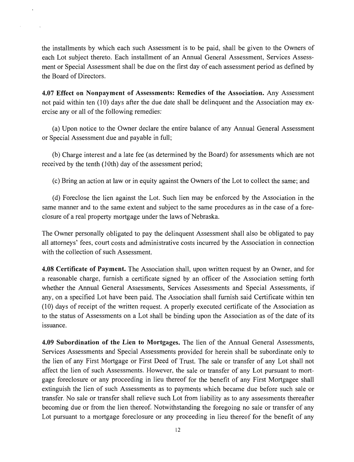the installments by which each such Assessment is to be paid, shall be given to the Owners of each Lot subject thereto. Each installment of an Annual General Assessment, Services Assess ment or Special Assessment shall be due on the first day of each assessment period as defined by the Board of Directors.

4.07 Effect on Nonpayment of Assessments: Remedies of the Association. Any Assessment not paid within ten (10) days after the due date shall be delinquent and the Association may ex ercise any or all of the following remedies:

(a) Upon notice to the Owner declare the entire balance of any Annual General Assessment or Special Assessment due and payable in full;

(b) Charge interest and a late fee (as determined by the Board) for assessments which are not received by the tenth (10th) day of the assessment period;

(c) Bring an action at law or in equity against the Owners of the Lot to collect the same; and

(d) Foreclose the lien against the Lot. Such lien may be enforced by the Association in the same manner and to the same extent and subject to the same procedures as in the case of a fore closure of a real property mortgage under the laws of Nebraska.

The Owner personally obligated to pay the delinquent Assessment shall also be obligated to pay all attorneys' fees, court costs and administrative costs incurred by the Association in connection with the collection of such Assessment.

4.08 Certificate of Payment. The Association shall, upon written request by an Owner, and for a reasonable charge, furnish a certificate signed by an officer of the Association setting forth whether the Annual General Assessments, Services Assessments and Special Assessments, if any, on a specified Lot have been paid. The Association shall furnish said Certificate within ten (10) days of receipt of the written request. A properly executed certificate of the Association as to the status of Assessments on a Lot shall be binding upon the Association as of the date of its issuance.

4.09 Subordination of the Lien to Mortgages. The lien of the Annual General Assessments, Services Assessments and Special Assessments provided for herein shall be subordinate only to the lien of any First Mortgage or First Deed of Trust. The sale or transfer of any Lot shall not affect the lien of such Assessments. However, the sale or transfer of any Lot pursuant to mort gage foreclosure or any proceeding in lieu thereof for the benefit of any First Mortgagee shall extinguish the lien of such Assessments as to payments which became due before such sale or transfer. No sale or transfer shall relieve such Lot from liability as to any assessments thereafter becoming due or from the lien thereof. Notwithstanding the foregoing no sale or transfer of any Lot pursuant to a mortgage foreclosure or any proceeding in lieu thereof for the benefit of any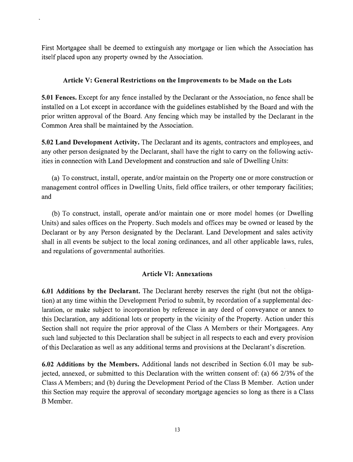First Mortgagee shall be deemed to extinguish any mortgage or lien which the Association has itself placed upon any property owned by the Association.

# Article V: General Restrictions on the Improvements to be Made on the Lots

5.01 Fences. Except for any fence installed by the Declarant or the Association, no fence shall be installed on a Lot except in accordance with the guidelines established by the Board and with the prior written approval of the Board. Any fencing which may be installed by the Declarant in the Common Area shall be maintained by the Association.

5.02 Land Development Activity. The Declarant and its agents, contractors and employees, and any other person designated by the Declarant, shall have the right to carry on the following activ ities in connection with Land Development and construction and sale of Dwelling Units:

(a) To construct, install, operate, and/or maintain on the Property one or more construction or management control offices in Dwelling Units, field office trailers, or other temporary facilities; and

(b) To construct, install, operate and/or maintain one or more model homes (or Dwelling Units) and sales offices on the Property. Such models and offices may be owned or leased by the Declarant or by any Person designated by the Declarant. Land Development and sales activity shall in all events be subject to the local zoning ordinances, and all other applicable laws, rules, and regulations of governmental authorities.

# Article VI: Annexations

6.01 Additions by the Declarant. The Declarant hereby reserves the right (but not the obliga tion) at any time within the Development Period to submit, by recordation of a supplemental dec laration, or make subject to incorporation by reference in any deed of conveyance or annex to this Declaration, any additional lots or property in the vicinity of the Property. Action under this Section shall not require the prior approval of the Class A Members or their Mortgagees. Any such land subjected to this Declaration shall be subject in all respects to each and every provision of this Declaration as well as any additional terms and provisions at the Declarant's discretion.

6.02 Additions by the Members. Additional lands not described in Section 6.01 may be sub jected, annexed, or submitted to this Declaration with the written consent of: (a) 66 2/3% of the Class A Members; and (b) during the Development Period of the Class B Member. Action under this Section may require the approval of secondary mortgage agencies so long as there is a Class B Member.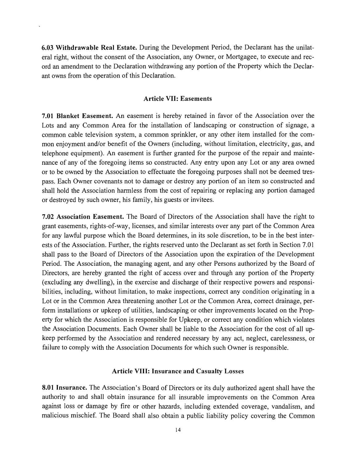6.03 Withdrawable Real Estate. During the Development Period, the Declarant has the unilat eral right, without the consent of the Association, any Owner, or Mortgagee, to execute and rec ord an amendment to the Declaration withdrawing any portion of the Property which the Declar ant owns from the operation of this Declaration.

#### Article VII: Easements

7.01 Blanket Easement. An easement is hereby retained in favor of the Association over the Lots and any Common Area for the installation of landscaping or construction of signage, a common cable television system, a common sprinkler, or any other item installed for the com mon enjoyment and/or benefit of the Owners (including, without limitation, electricity, gas, and telephone equipment). An easement is further granted for the purpose of the repair and mainte nance of any of the foregoing items so constructed. Any entry upon any Lot or any area owned or to be owned by the Association to effectuate the foregoing purposes shall not be deemed tres pass. Each Owner covenants not to damage or destroy any portion of an item so constructed and shall hold the Association harmless from the cost of repairing or replacing any portion damaged or destroyed by such owner, his family, his guests or invitees.

7.02 Association Easement. The Board of Directors of the Association shall have the right to grant easements, rights-of-way, licenses, and similar interests over any part of the Common Area for any lawful purpose which the Board determines, in its sole discretion, to be in the best inter ests of the Association. Further, the rights reserved unto the Declarant as set forth in Section 7.01 shall pass to the Board of Directors of the Association upon the expiration of the Development Period. The Association, the managing agent, and any other Persons authorized by the Board of Directors, are hereby granted the right of access over and through any portion of the Property (excluding any dwelling), in the exercise and discharge of their respective powers and responsi bilities, including, without limitation, to make inspections, correct any condition originating in a Lot or in the Common Area threatening another Lot or the Common Area, correct drainage, per form installations or upkeep of utilities, landscaping or other improvements located on the Prop erty for which the Association is responsible for Upkeep, or correct any condition which violates the Association Documents. Each Owner shall be liable to the Association for the cost of all up keep performed by the Association and rendered necessary by any act, neglect, carelessness, or failure to comply with the Association Documents for which such Owner is responsible.

#### Article VIII: Insurance and Casualty Losses

8.01 Insurance. The Association's Board of Directors or its duly authorized agent shall have the authority to and shall obtain insurance for all insurable improvements on the Common Area against loss or damage by fire or other hazards, including extended coverage, vandalism, and malicious mischief. The Board shall also obtain a public liability policy covering the Common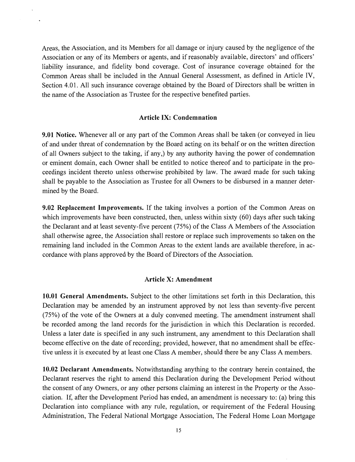Areas, the Association, and its Members for all damage or injury caused by the negligence of the Association or any of its Members or agents, and if reasonably available, directors' and officers' liability insurance, and fidelity bond coverage. Cost of insurance coverage obtained for the Common Areas shall be included in the Annual General Assessment, as defined in Article IV, Section 4.01. All such insurance coverage obtained by the Board of Directors shall be written in the name of the Association as Trustee for the respective benefited parties.

## Article IX: Condemnation

9.01 Notice. Whenever all or any part of the Common Areas shall be taken (or conveyed in lieu of and under threat of condemnation by the Board acting on its behalf or on the written direction of all Owners subject to the taking, if any,) by any authority having the power of condemnation or eminent domain, each Owner shall be entitled to notice thereof and to participate in the pro ceedings incident thereto unless otherwise prohibited by law. The award made for such taking shall be payable to the Association as Trustee for all Owners to be disbursed in a manner deter mined by the Board.

9.02 Replacement Improvements. If the taking involves a portion of the Common Areas on which improvements have been constructed, then, unless within sixty (60) days after such taking the Declarant and at least seventy-five percent (75%) of the Class A Members of the Association shall otherwise agree, the Association shall restore or replace such improvements so taken on the remaining land included in the Common Areas to the extent lands are available therefore, in ac cordance with plans approved by the Board of Directors of the Association.

#### Article X: Amendment

10.01 General Amendments. Subject to the other limitations set forth in this Declaration, this Declaration may be amended by an instrument approved by not less than seventy-five percent (75%) of the vote of the Owners at a duly convened meeting. The amendment instrument shall be recorded among the land records for the jurisdiction in which this Declaration is recorded. Unless a later date is specified in any such instrument, any amendment to this Declaration shall become effective on the date of recording; provided, however, that no amendment shall be effec tive unless it is executed by at least one Class A member, should there be any Class A members.

10.02 Declarant Amendments. Notwithstanding anything to the contrary herein contained, the Declarant reserves the right to amend this Declaration during the Development Period without the consent of any Owners, or any other persons claiming an interest in the Property or the Asso ciation. If, after the Development Period has ended, an amendment is necessary to: (a) bring this Declaration into compliance with any rule, regulation, or requirement of the Federal Housing Administration, The Federal National Mortgage Association, The Federal Home Loan Mortgage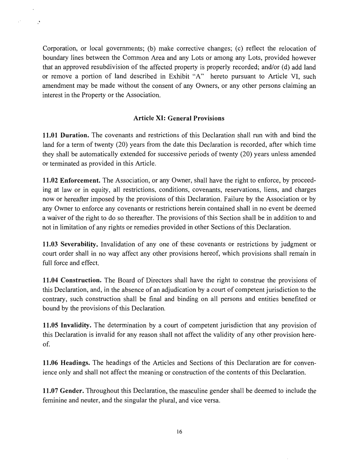Corporation, or local governments; (b) make corrective changes; (c) reflect the relocation of boundary lines between the Common Area and any Lots or among any Lots, provided however that an approved resubdivision of the affected property is properly recorded; and/or (d) add land or remove a portion of land described in Exhibit "A" hereto pursuant to Article VI, such amendment may be made without the consent of any Owners, or any other persons claiming an interest in the Property or the Association.

 $\ddot{\phantom{a}}$ 

 $\ddot{\phantom{a}}$ 

 $\mathbb{R}^2$ 

# Article XI: General Provisions

11.01 Duration. The covenants and restrictions of this Declaration shall run with and bind the land for a term of twenty (20) years from the date this Declaration is recorded, after which time they shall be automatically extended for successive periods of twenty (20) years unless amended or terminated as provided in this Article.

11.02 Enforcement. The Association, or any Owner, shall have the right to enforce, by proceed ing at law or in equity, all restrictions, conditions, covenants, reservations, liens, and charges now or hereafter imposed by the provisions of this Declaration. Failure by the Association or by any Owner to enforce any covenants or restrictions herein contained shall in no event be deemed a waiver of the right to do so thereafter. The provisions of this Section shall be in addition to and not in limitation of any rights or remedies provided in other Sections of this Declaration.

11.03 Severability. Invalidation of any one of these covenants or restrictions by judgment or court order shall in no way affect any other provisions hereof, which provisions shall remain in full force and effect.

11.04 Construction. The Board of Directors shall have the right to construe the provisions of this Declaration, and, in the absence of an adjudication by a court of competent jurisdiction to the contrary, such construction shall be final and binding on all persons and entities benefited or bound by the provisions of this Declaration.

11.05 Invalidity. The determination by a court of competent jurisdiction that any provision of this Declaration is invalid for any reason shall not affect the validity of any other provision here of.

11.06 Headings. The headings of the Articles and Sections of this Declaration are for conven ience only and shall not affect the meaning or construction of the contents of this Declaration.

11.07 Gender. Throughout this Declaration, the masculine gender shall be deemed to include the feminine and neuter, and the singular the plural, and vice versa.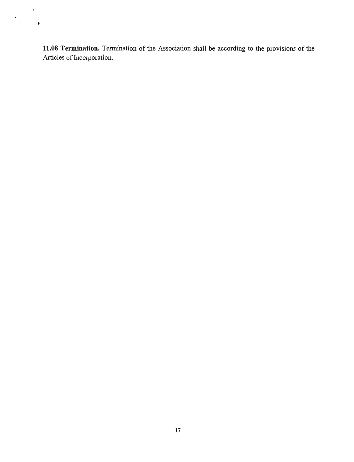11.08 Termination. Termination of the Association shall be according to the provisions of the Articles of Incorporation.

 $\sim$ 

 $\sim$ 

 $\sim 10^{-1}$ 

 $\mathcal{A}$ 

 $\ddot{\phantom{0}}$ 

 $\frac{1}{2}$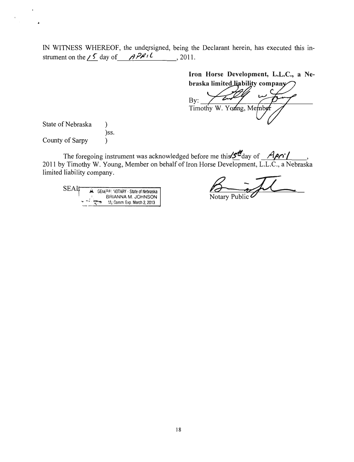IN WITNESS WHEREOF, the undersigned, being the Declarant herein, has executed this in strument on the  $\angle$  5 day of APRIL , 2011.

> Iron Horse Development, L.L.C., a Ne braska limited liability company

By: I imothy W. Young, Me

State of Nebraska  $\mathcal{E}$ )ss. County of Sarpy )

.

The foregoing instrument was acknowledged before me this  $\Sigma^d$ day of *HPOL* 2011 by Timothy W. Young, Member on behalf of Iron Horse Development, L.L.C., a Nebraska limited liability company.

SEAT A GENERAL NOTARY - State of Nebraska<br>
BRIANNA M. JOHNSON<br>
My Comm. Exp. March 2, 2013

 $\beta$  -fl Notarv Public^ Notary Public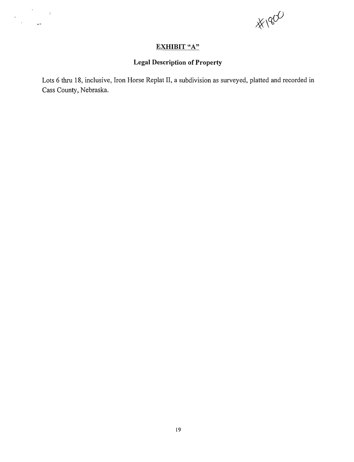$\frac{1}{2}$ 

# EXHIBIT "A"

 $\label{eq:2} \frac{1}{\sqrt{2\pi}}\frac{d\phi}{d\phi} = 1.$  <br> The  $\phi$  -space  $\phi$ 

# **Legal Description of Property**

Lots 6 thru 18, inclusive, Iron Horse Replat II, a subdivision as surveyed, platted and recorded in Cass County, Nebraska.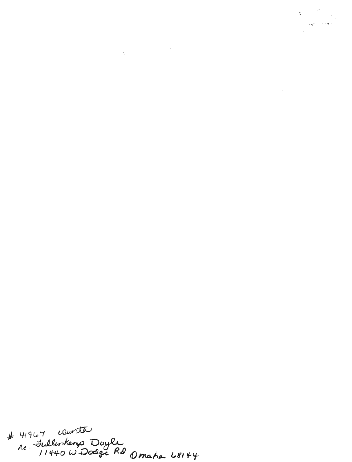# 41967 counter<br>ne - Fullentang Doyle<br>11440 W Dodge Rd Omaha 68144

 $\label{eq:2} \begin{array}{c} \mathbf{y} = \begin{bmatrix} \mathbf{y} & \mathbf{y} \\ \mathbf{y} & \mathbf{y} \end{bmatrix} \end{array}$   $\begin{array}{c} \mathbf{z} \mathbf{y} \mathbf{y} + \mathbf{y} \mathbf{y} \end{array}$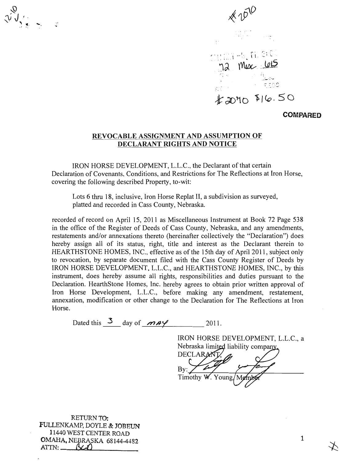$x^{\vee}$   $y^{\vee}$   $\sim$   $y^{\vee}$ 

Mix <u>lets</u>  $\tau$  -  $\alpha$   $\alpha$  $k$ 2070 \$16.50

COMPARED

#### REVOCABLE ASSIGNMENT AND ASSUMPTION OF DECLARANT RIGHTS AND NOTICE

IRON HORSE DEVELOPMENT, L.L.C., the Declarant of that certain Declaration of Covenants, Conditions, and Restrictions for The Reflections at Iron Horse, covering the following described Property, to-wit:

Lots 6 thru 18, inclusive, Iron Horse Replat II, a subdivision as surveyed, platted and recorded in Cass County, Nebraska.

recorded of record on April 15, 2011 as Miscellaneous Instrument at Book 72 Page 538 in the office of the Register of Deeds of Cass County, Nebraska, and any amendments, restatements and/or annexations thereto (hereinafter collectively the "Declaration") does hereby assign all of its status, right, title and interest as the Declarant therein to HEARTHSTONE HOMES, INC., effective as of the 15th day of April 2011, subject only to revocation, by separate document filed with the Cass County Register of Deeds by IRON HORSE DEVELOPMENT, L.L.C., and HEARTHSTONE HOMES, INC., by this instrument, does hereby assume all rights, responsibilities and duties pursuant to the Declaration. HearthStone Homes, Inc. hereby agrees to obtain prior written approval of Iron Horse Development, L.L.C., before making any amendment, restatement, annexation, modification or other change to the Declaration for The Reflections at Iron Horse.

Timothy W.

Dated this  $\frac{3}{2}$  day of  $\frac{3}{2}$  and  $\frac{3}{2}$  2011.

IRON HORSE DEVELOPMENT, L.L.C., a Nebraska limited liability company. DECLARANT.

Young

RETURN TO:<br>We now n FULLENKAMP, DOTLE & JOBEUN 11440 WEST CENTER ROAD **OMAHA, NEBRASKA 68144-4482**<br>ATTN: **BCD** A T T N : < W ) ^

 $\mathbf{1}$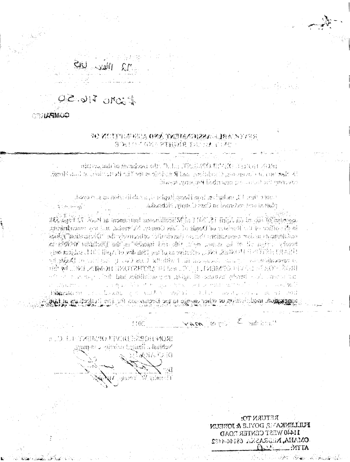# Mur. UB

 $L$  solo  $I_1 \circ S_0$ 

**COMPARTS** 

## TO ZOUTLE HOA ORA TRIBAZAR ALABA NY 778 医假性白色有的口腔内脑膜炎 的过去分词 经通知

minima sali to incidenci sdr. D. L.: TVAR 480 TRV (C) TANCH 170 MH Samble and the contribute of motion of the similar secondary () motions of the contract of Siw-or wrocon4 bedirozen processed terrories

there then 10, industries from Home Replies to a subdivision as surveyed. sidesidik .vinin is east or lessons has builde .<br>د اوليدنا جود خلد (

geordariol /sout on April 18, 2011 al Wisselfounds Instrument at Pool 12 Fater 138 in the office of the benisher of Oceds of Cass County. Networker, and any emericance of abob ("nationalista" odi vision zalio: (odinistal) on neb orbitalenna rodom stagradator of distint minister of the same, delight into other incomes and the figure definition of  $\mathcal{A}$  is the second of  $\mathcal{B}$  in  $\mathcal{B}$  . The second  $\mathcal{B}$  is the state of  $\mathcal{A}$  is the second  $\mathcal{B}$ of should be said ust on to see I all dievel in monument cannot viewer himsover a IROŠPOSKO DAJ GRANIKI, LADA GRANIKI SRPEDIKU HOMIN JAKO POŠE and all contemporal light band sightlicions gave goldsis. The sequence of oriental another means incr s in the second control of the second state of the second second second second second second second second second second second second second second second second second second second second second second second second sec  $\mathcal{L} = \mathcal{L} \mathcal{L}$  , where  $\mathcal{L} = \mathcal{L} \mathcal{L}$ banda yoo shaka cadaha ad ahaa maan waxay sa sheedi **Propose** to the amexakon, modericativa or oher dasage to the Declaration faction for the proteins at in

> which he  $\mathcal{Z}$  and  $\mathcal{Z}$ 月百年

BUD. LE TZEMTO HIVRITEZSOH VOSH  $\mathfrak{g}_{\mathbf{B}}$ isska  $\mathfrak{f}_{\mathbf{B}}$ ining $\mathfrak{f}_{\mathbf{B}}$ ining under

**BANAKAR** *V vilm*eeči

RETURN TO: FULLEMKANG DOYLE & JOBEUM 11440 WEST CENTER LOAD OMAHA, NEERASKA 68144-4482  $\Lambda_{\mathbb{C}}$   $\Lambda_{\mathbb{C}}$ 

Protection of the complete of a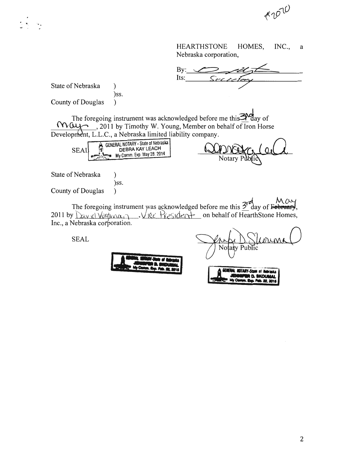$*10^{10}$ 

HEARTHSTONE HOMES, Nebraska corporation, INC., a

 $\mathbf{By:}$ Its:

State of Nebraska (b)

County of Douglas )

The foregoing instrument was acknowledged before me this<sup>30</sup>day of  $\forall V\cup\{\neg\}$ , 2011 by Timothy W. Young, Member on behalf of Iron Horse Development, L.L.C., a Nebraska limited liability company.

| <b>SEAL</b> | GENERAL NOTARY - State of Nebraska  <br><b>DEBRA KAY LEACH</b><br>My Comm. Exp. May 28. 2014 |  |
|-------------|----------------------------------------------------------------------------------------------|--|
|             |                                                                                              |  |

)ss.

 $\mathcal{E}$ 

)ss.

**A** D **N**<br>Notary

State of Nebraska

County of Douglas )

The foregoing instrument was acknowledged before me this  $\frac{3}{2}$  day of February,<br>2011 by  $\sum_{x} \sqrt{2\pi}$  day  $x \sqrt{2\pi}$  on behalf of HearthStone Homes,  $\overline{\mathcal{A}}$   $\vee$  lec  $\overline{\mathcal{A}}$   $\epsilon$   $\vee$  ident on behalf of HearthStone Homes, Inc., a Nebraska corporation.

SEAL

 $No$ Public ta<del>i</del>v



**MOTARY.CO WWW.DR.RO.Z.2016**